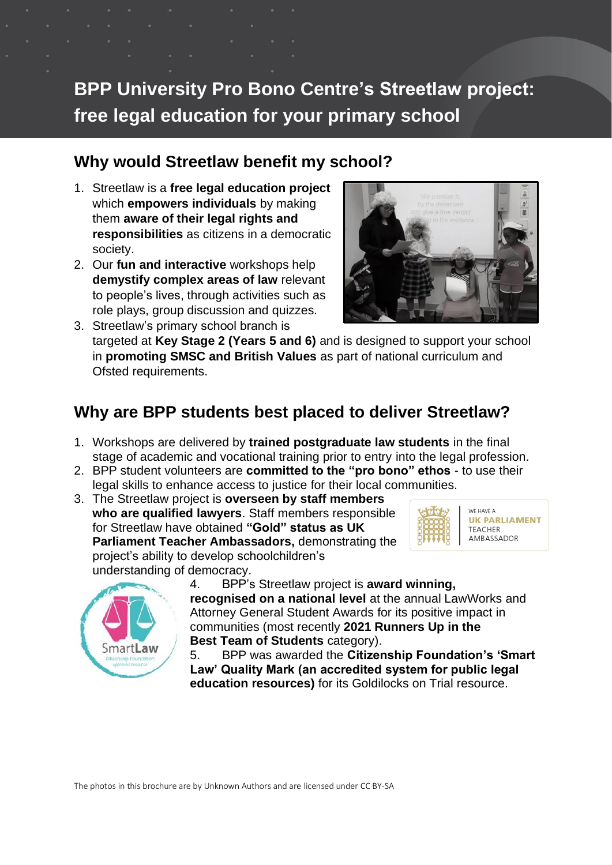# **BPP University Pro Bono Centre's Streetlaw project: free legal education for your primary school**

#### **Why would Streetlaw benefit my school?**

- 1. Streetlaw is a **free legal education project** which **empowers individuals** by making them **aware of their legal rights and responsibilities** as citizens in a democratic society.
- 2. Our **fun and interactive** workshops help **demystify complex areas of law** relevant to people's lives, through activities such as role plays, group discussion and quizzes.



3. Streetlaw's primary school branch is targeted at **Key Stage 2 (Years 5 and 6)** and is designed to support your school in **promoting SMSC and British Values** as part of national curriculum and Ofsted requirements.

## **Why are BPP students best placed to deliver Streetlaw?**

- 1. Workshops are delivered by **trained postgraduate law students** in the final stage of academic and vocational training prior to entry into the legal profession.
- 2. BPP student volunteers are **committed to the "pro bono" ethos** to use their legal skills to enhance access to justice for their local communities.
- 3. The Streetlaw project is **overseen by staff members who are qualified lawyers**. Staff members responsible for Streetlaw have obtained **"Gold" status as UK Parliament Teacher Ambassadors,** demonstrating the project's ability to develop schoolchildren's understanding of democracy.



WE HAVE A **UK PARLIAMENT TEACHER** AMBASSADOR



4. BPP's Streetlaw project is **award winning, recognised on a national level** at the annual LawWorks and Attorney General Student Awards for its positive impact in communities (most recently **2021 Runners Up in the Best Team of Students** category).

5. BPP was awarded the **Citizenship Foundation's 'Smart Law' Quality Mark (an accredited system for public legal education resources)** for its Goldilocks on Trial resource.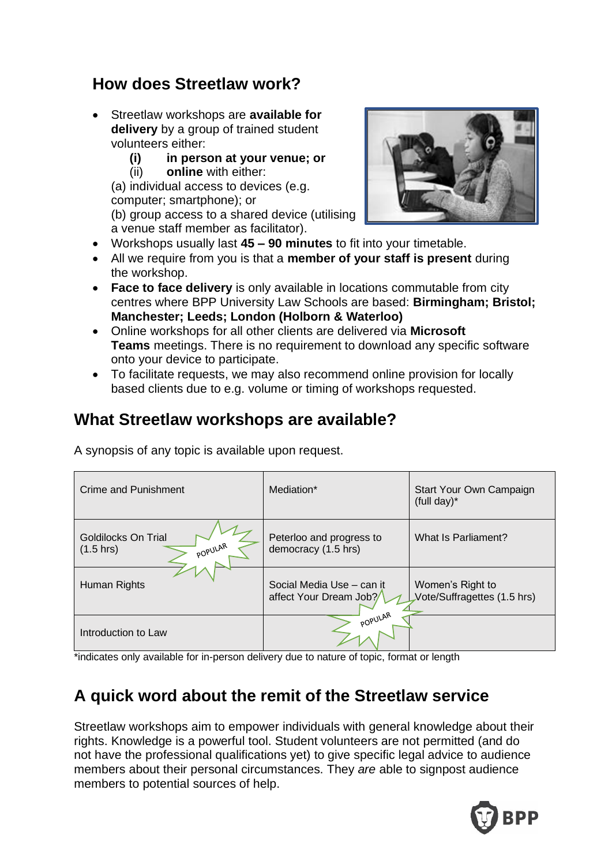#### **How does Streetlaw work?**

- Streetlaw workshops are **available for delivery** by a group of trained student volunteers either:
	- **(i) in person at your venue; or**
	- (ii) **online** with either:

(a) individual access to devices (e.g. computer; smartphone); or (b) group access to a shared device (utilising a venue staff member as facilitator).



- Workshops usually last **45 – 90 minutes** to fit into your timetable.
- All we require from you is that a **member of your staff is present** during the workshop.
- **Face to face delivery** is only available in locations commutable from city centres where BPP University Law Schools are based: **Birmingham; Bristol; Manchester; Leeds; London (Holborn & Waterloo)**
- Online workshops for all other clients are delivered via **Microsoft Teams** meetings. There is no requirement to download any specific software onto your device to participate.
- To facilitate requests, we may also recommend online provision for locally based clients due to e.g. volume or timing of workshops requested.

## **What Streetlaw workshops are available?**

A synopsis of any topic is available upon request.

| Crime and Punishment                                  | Mediation*                                           | Start Your Own Campaign<br>(full day) $*$       |
|-------------------------------------------------------|------------------------------------------------------|-------------------------------------------------|
| Goldilocks On Trial<br>POPULAR<br>$(1.5 \text{ hrs})$ | Peterloo and progress to<br>democracy (1.5 hrs)      | What Is Parliament?                             |
| Human Rights                                          | Social Media Use - can it<br>affect Your Dream Job?/ | Women's Right to<br>Vote/Suffragettes (1.5 hrs) |
| Introduction to Law                                   | POPULAR                                              |                                                 |

\*indicates only available for in-person delivery due to nature of topic, format or length

## **A quick word about the remit of the Streetlaw service**

Streetlaw workshops aim to empower individuals with general knowledge about their rights. Knowledge is a powerful tool. Student volunteers are not permitted (and do not have the professional qualifications yet) to give specific legal advice to audience members about their personal circumstances. They *are* able to signpost audience members to potential sources of help.